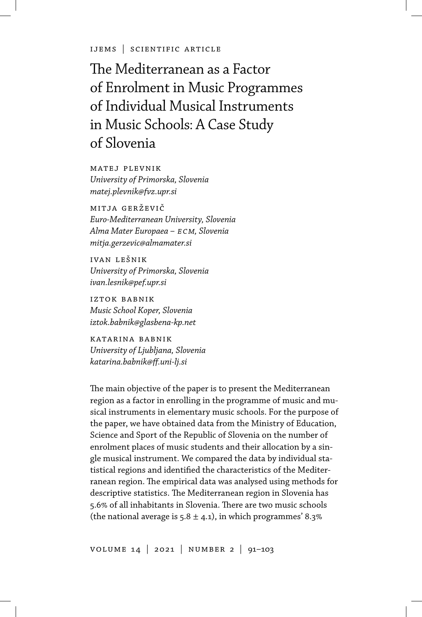ijems | scientific article

The Mediterranean as a Factor of Enrolment in Music Programmes of Individual Musical Instruments in Music Schools: A Case Study of Slovenia

matej plevnik *University of Primorska, Slovenia matej.plevnik@fvz.upr.si*

mitja gerževi *Euro-Mediterranean University, Slovenia Alma Mater Europaea – ecm, Slovenia mitja.gerzevic@almamater.si*

ivan lešnik *University of Primorska, Slovenia ivan.lesnik@pef.upr.si*

iztok babnik *Music School Koper, Slovenia iztok.babnik@glasbena-kp.net*

katarina babnik *University of Ljubljana, Slovenia katarina.babnik@ff.uni-lj.si*

The main objective of the paper is to present the Mediterranean region as a factor in enrolling in the programme of music and musical instruments in elementary music schools. For the purpose of the paper, we have obtained data from the Ministry of Education, Science and Sport of the Republic of Slovenia on the number of enrolment places of music students and their allocation by a single musical instrument. We compared the data by individual statistical regions and identified the characteristics of the Mediterranean region. The empirical data was analysed using methods for descriptive statistics. The Mediterranean region in Slovenia has 5.6 of all inhabitants in Slovenia. There are two music schools (the national average is  $5.8 \pm 4.1$ ), in which programmes' 8.3%

volume 14 | 2021 | number 2 | 91–103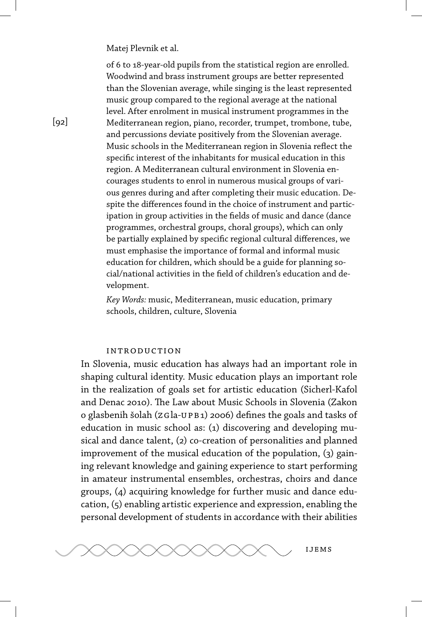of 6 to 18-year-old pupils from the statistical region are enrolled. Woodwind and brass instrument groups are better represented than the Slovenian average, while singing is the least represented music group compared to the regional average at the national level. After enrolment in musical instrument programmes in the Mediterranean region, piano, recorder, trumpet, trombone, tube, and percussions deviate positively from the Slovenian average. Music schools in the Mediterranean region in Slovenia reflect the specific interest of the inhabitants for musical education in this region. A Mediterranean cultural environment in Slovenia encourages students to enrol in numerous musical groups of various genres during and after completing their music education. Despite the differences found in the choice of instrument and participation in group activities in the fields of music and dance (dance programmes, orchestral groups, choral groups), which can only be partially explained by specific regional cultural differences, we must emphasise the importance of formal and informal music education for children, which should be a guide for planning social/national activities in the field of children's education and development.

*Key Words:* music, Mediterranean, music education, primary schools, children, culture, Slovenia

# introduction

In Slovenia, music education has always had an important role in shaping cultural identity. Music education plays an important role in the realization of goals set for artistic education (Sicherl-Kafol and Denac 2010). The Law about Music Schools in Slovenia (Zakon o glasbenih šolah (zgla-upb1) 2006) defines the goals and tasks of education in music school as: (1) discovering and developing musical and dance talent, (2) co-creation of personalities and planned improvement of the musical education of the population, (3) gaining relevant knowledge and gaining experience to start performing in amateur instrumental ensembles, orchestras, choirs and dance groups, (4) acquiring knowledge for further music and dance education, (5) enabling artistic experience and expression, enabling the personal development of students in accordance with their abilities



 $[q2]$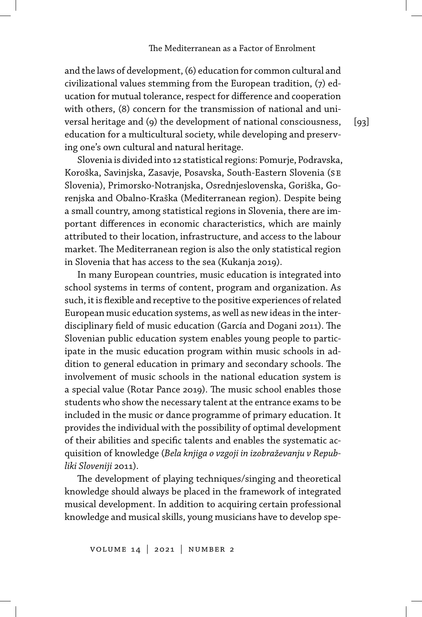and the laws of development, (6) education for common cultural and civilizational values stemming from the European tradition, (7) education for mutual tolerance, respect for difference and cooperation with others, (8) concern for the transmission of national and universal heritage and (9) the development of national consciousness, education for a multicultural society, while developing and preserving one's own cultural and natural heritage.

Slovenia is divided into 12 statistical regions: Pomurje, Podravska, Koroška, Savinjska, Zasavje, Posavska, South-Eastern Slovenia (se Slovenia), Primorsko-Notranjska, Osrednjeslovenska, Goriška, Gorenjska and Obalno-Kraška (Mediterranean region). Despite being a small country, among statistical regions in Slovenia, there are important differences in economic characteristics, which are mainly attributed to their location, infrastructure, and access to the labour market. The Mediterranean region is also the only statistical region in Slovenia that has access to the sea (Kukanja 2019).

In many European countries, music education is integrated into school systems in terms of content, program and organization. As such, it is flexible and receptive to the positive experiences of related European music education systems, as well as new ideas in the interdisciplinary field of music education (García and Dogani 2011). The Slovenian public education system enables young people to participate in the music education program within music schools in addition to general education in primary and secondary schools. The involvement of music schools in the national education system is a special value (Rotar Pance 2019). The music school enables those students who show the necessary talent at the entrance exams to be included in the music or dance programme of primary education. It provides the individual with the possibility of optimal development of their abilities and specific talents and enables the systematic acquisition of knowledge (*Bela knjiga o vzgoji in izobraževanju v Republiki Sloveniji* 2011).

The development of playing techniques/singing and theoretical knowledge should always be placed in the framework of integrated musical development. In addition to acquiring certain professional knowledge and musical skills, young musicians have to develop spe $[93]$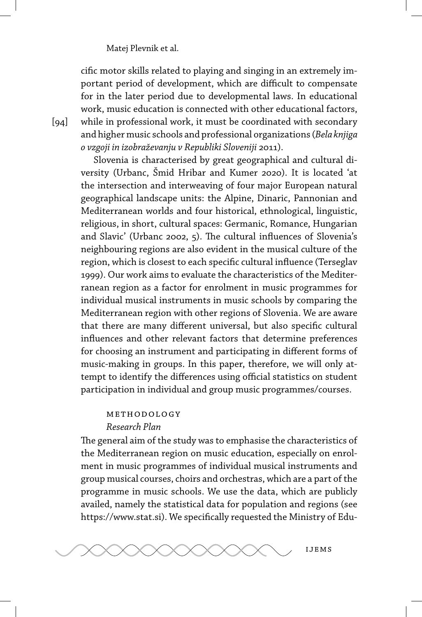cific motor skills related to playing and singing in an extremely important period of development, which are difficult to compensate for in the later period due to developmental laws. In educational work, music education is connected with other educational factors, while in professional work, it must be coordinated with secondary and higher music schools and professional organizations (*Bela knjiga o vzgoji in izobraževanju v Republiki Sloveniji* 2011).

Slovenia is characterised by great geographical and cultural diversity (Urbanc, Šmid Hribar and Kumer 2020). It is located 'at the intersection and interweaving of four major European natural geographical landscape units: the Alpine, Dinaric, Pannonian and Mediterranean worlds and four historical, ethnological, linguistic, religious, in short, cultural spaces: Germanic, Romance, Hungarian and Slavic' (Urbanc 2002, 5). The cultural influences of Slovenia's neighbouring regions are also evident in the musical culture of the region, which is closest to each specific cultural influence (Terseglav 1999). Our work aims to evaluate the characteristics of the Mediterranean region as a factor for enrolment in music programmes for individual musical instruments in music schools by comparing the Mediterranean region with other regions of Slovenia. We are aware that there are many different universal, but also specific cultural influences and other relevant factors that determine preferences for choosing an instrument and participating in different forms of music-making in groups. In this paper, therefore, we will only attempt to identify the differences using official statistics on student participation in individual and group music programmes/courses.

# methodology

# *Research Plan*

The general aim of the study was to emphasise the characteristics of the Mediterranean region on music education, especially on enrolment in music programmes of individual musical instruments and group musical courses, choirs and orchestras, which are a part of the programme in music schools. We use the data, which are publicly availed, namely the statistical data for population and regions (see https://www.stat.si). We specifically requested the Ministry of Edu-



 $\lceil 94 \rceil$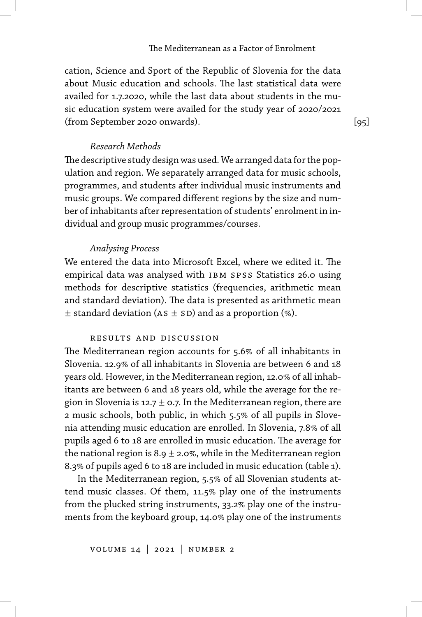cation, Science and Sport of the Republic of Slovenia for the data about Music education and schools. The last statistical data were availed for 1.7.2020, while the last data about students in the music education system were availed for the study year of 2020/2021 (from September 2020 onwards).

*Research Methods*

The descriptive study design was used. We arranged data for the population and region. We separately arranged data for music schools, programmes, and students after individual music instruments and music groups. We compared different regions by the size and number of inhabitants after representation of students' enrolment in individual and group music programmes/courses.

# *Analysing Process*

We entered the data into Microsoft Excel, where we edited it. The empirical data was analysed with IBM SPSS Statistics 26.0 using methods for descriptive statistics (frequencies, arithmetic mean and standard deviation). The data is presented as arithmetic mean  $\pm$  standard deviation (AS  $\pm$  SD) and as a proportion (%).

### results and discussion

The Mediterranean region accounts for 5.6% of all inhabitants in Slovenia. 12.9% of all inhabitants in Slovenia are between 6 and 18 years old. However, in the Mediterranean region, 12.0% of all inhabitants are between 6 and 18 years old, while the average for the region in Slovenia is 12.7  $\pm$  0.7. In the Mediterranean region, there are 2 music schools, both public, in which 5.5% of all pupils in Slovenia attending music education are enrolled. In Slovenia, 7.8% of all pupils aged 6 to 18 are enrolled in music education. The average for the national region is 8.9  $\pm$  2.0%, while in the Mediterranean region 8.3% of pupils aged 6 to 18 are included in music education (table 1).

In the Mediterranean region, 5.5% of all Slovenian students attend music classes. Of them, 11.5% play one of the instruments from the plucked string instruments, 33.2% play one of the instruments from the keyboard group, 14.0% play one of the instruments  $[95]$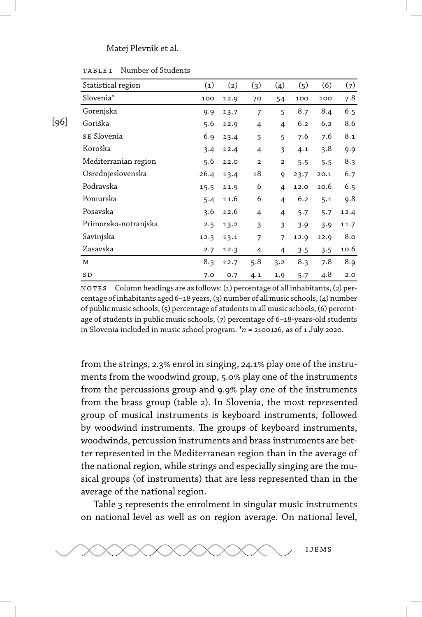|      | Statistical region    | (1)  | (2)  | (3)                     | (4)                     | (5)  | (6)  | (7)  |
|------|-----------------------|------|------|-------------------------|-------------------------|------|------|------|
|      | Slovenia <sup>*</sup> | 100  | 12.9 | 70                      | 54                      | 100  | 100  | 7.8  |
|      | Gorenjska             | 9.9  | 13.7 | $\overline{7}$          | 5                       | 8.7  | 8.4  | 6.5  |
| [96] | Goriška               | 5.6  | 12.9 | 4                       | 4                       | 6.2  | 6.2  | 8.6  |
|      | SE Slovenia           | 6.9  | 13.4 | 5                       | 5                       | 7.6  | 7.6  | 8.1  |
|      | Koroška               | 3.4  | 12.4 | $\overline{4}$          | 3                       | 4.1  | 3.8  | 9.9  |
|      | Mediterranian region  | 5.6  | 12.0 | $\overline{\mathbf{c}}$ | $\overline{\mathbf{c}}$ | 5.5  | 5.5  | 8.3  |
|      | Osrednjeslovenska     | 26.4 | 13.4 | 18                      | 9                       | 23.7 | 20.1 | 6.7  |
|      | Podravska             | 15.5 | 11.9 | 6                       | 4                       | 12.0 | 10.6 | 6.5  |
|      | Pomurska              | 5.4  | 11.6 | 6                       | 4                       | 6.2  | 5.1  | 9.8  |
|      | Posavska              | 3.6  | 12.6 | 4                       | 4                       | 5.7  | 5.7  | 12.4 |
|      | Primorsko-notranjska  | 2.5  | 13.2 | 3                       | 3                       | 3.9  | 3.9  | 11.7 |
|      | Savinjska             | 12.3 | 13.1 | 7                       | 7                       | 12.9 | 12.9 | 8.0  |
|      | Zasavska              | 2.7  | 12.3 | 4                       | 4                       | 3.5  | 3.5  | 10.6 |
|      | M                     | 8.3  | 12.7 | 5.8                     | 3.2                     | 8.3  | 7.8  | 8.9  |
|      | SD                    | 7.0  | 0.7  | 4.1                     | 1.9                     | 5.7  | 4.8  | 2.0  |

table 1 Number of Students

no tes Column headings are as follows: (1) percentage of all inhabitants, (2) percentage of inhabitants aged 6–18 years, (3) number of all music schools, (4) number of public music schools, (5) percentage of students in all music schools, (6) percentage of students in public music schools, (7) percentage of 6–18-years-old students in Slovenia included in music school program. \**n* = 2100126, as of 1 July 2020.

from the strings, 2.3% enrol in singing, 24.1% play one of the instruments from the woodwind group, 5.0% play one of the instruments from the percussions group and 9.9% play one of the instruments from the brass group (table 2). In Slovenia, the most represented group of musical instruments is keyboard instruments, followed by woodwind instruments. The groups of keyboard instruments, woodwinds, percussion instruments and brass instruments are better represented in the Mediterranean region than in the average of the national region, while strings and especially singing are the musical groups (of instruments) that are less represented than in the average of the national region.

Table 3 represents the enrolment in singular music instruments on national level as well as on region average. On national level,

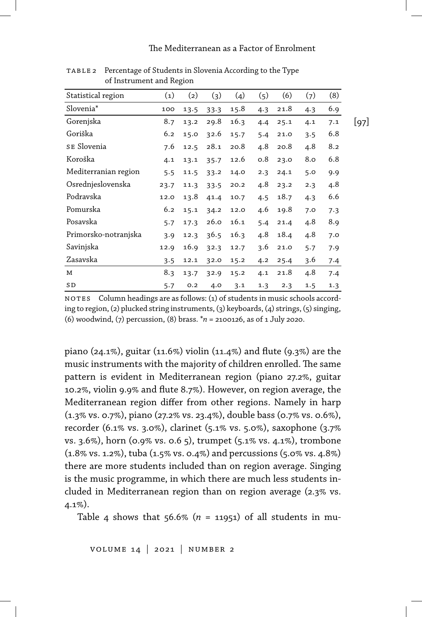#### The Mediterranean as a Factor of Enrolment

| Statistical region    | (1)  | (2)  | (3)  | (4)  | (5) | (6)  | (7) | (8) |      |
|-----------------------|------|------|------|------|-----|------|-----|-----|------|
| Slovenia <sup>*</sup> | 100  | 13.5 | 33.3 | 15.8 | 4.3 | 21.8 | 4.3 | 6.9 |      |
| Gorenjska             | 8.7  | 13.2 | 29.8 | 16.3 | 4.4 | 25.1 | 4.1 | 7.1 | [97] |
| Goriška               | 6.2  | 15.0 | 32.6 | 15.7 | 5.4 | 21.0 | 3.5 | 6.8 |      |
| SE Slovenia           | 7.6  | 12.5 | 28.1 | 20.8 | 4.8 | 20.8 | 4.8 | 8.2 |      |
| Koroška               | 4.1  | 13.1 | 35.7 | 12.6 | 0.8 | 23.0 | 8.0 | 6.8 |      |
| Mediterranian region  | 5.5  | 11.5 | 33.2 | 14.0 | 2.3 | 24.1 | 5.0 | 9.9 |      |
| Osrednjeslovenska     | 23.7 | 11.3 | 33.5 | 20.2 | 4.8 | 23.2 | 2.3 | 4.8 |      |
| Podravska             | 12.0 | 13.8 | 41.4 | 10.7 | 4.5 | 18.7 | 4.3 | 6.6 |      |
| Pomurska              | 6.2  | 15.1 | 34.2 | 12.0 | 4.6 | 19.8 | 7.0 | 7.3 |      |
| Posavska              | 5.7  | 17.3 | 26.0 | 16.1 | 5.4 | 21.4 | 4.8 | 8.9 |      |
| Primorsko-notranjska  | 3.9  | 12.3 | 36.5 | 16.3 | 4.8 | 18.4 | 4.8 | 7.0 |      |
| Savinjska             | 12.9 | 16.9 | 32.3 | 12.7 | 3.6 | 21.0 | 5.7 | 7.9 |      |
| Zasavska              | 3.5  | 12.1 | 32.0 | 15.2 | 4.2 | 25.4 | 3.6 | 7.4 |      |
| М                     | 8.3  | 13.7 | 32.9 | 15.2 | 4.1 | 21.8 | 4.8 | 7.4 |      |
| SD                    | 5.7  | O.2  | 4.0  | 3.1  | 1.3 | 2.3  | 1.5 | 1.3 |      |

table 2 Percentage of Students in Slovenia According to the Type of Instrument and Region

no tes Column headings are as follows: (1) of students in music schools according to region, (2) plucked string instruments, (3) keyboards, (4) strings, (5) singing, (6) woodwind, (7) percussion, (8) brass. \**n* = 2100126, as of 1 July 2020.

piano (24.1%), guitar (11.6%) violin (11.4%) and flute (9.3%) are the music instruments with the majority of children enrolled. The same pattern is evident in Mediterranean region (piano 27.2%, guitar 10.2%, violin 9.9% and flute 8.7%). However, on region average, the Mediterranean region differ from other regions. Namely in harp  $(1.3\% \text{ vs. } 0.7\%)$ , piano (27.2% vs. 23.4%), double bass (0.7% vs. 0.6%), recorder (6.1% vs. 3.0%), clarinet (5.1% vs. 5.0%), saxophone (3.7%) vs. 3.6%), horn (0.9% vs. 0.6 5), trumpet (5.1% vs. 4.1%), trombone  $(1.8\% \text{ vs. } 1.2\%)$ , tuba  $(1.5\% \text{ vs. } 0.4\%)$  and percussions  $(5.0\% \text{ vs. } 4.8\%)$ there are more students included than on region average. Singing is the music programme, in which there are much less students included in Mediterranean region than on region average (2.3% vs.  $4.1\%$ ).

Table 4 shows that 56.6% ( $n = 11951$ ) of all students in mu-

volume 14 | 2021 | number 2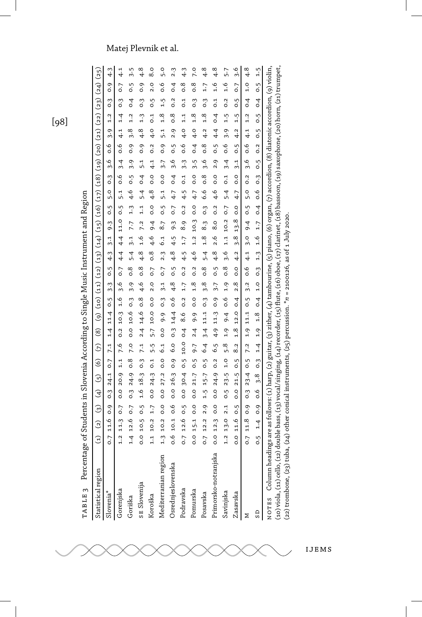|                | ֘֒          |
|----------------|-------------|
|                |             |
|                |             |
|                |             |
|                |             |
|                |             |
|                |             |
|                | ::::        |
|                |             |
|                |             |
|                |             |
|                |             |
|                |             |
|                |             |
|                |             |
|                |             |
|                |             |
|                |             |
|                |             |
|                |             |
|                |             |
|                |             |
|                |             |
|                |             |
|                |             |
|                |             |
|                |             |
|                |             |
| I              |             |
|                |             |
| $\overline{a}$ | Ì<br>l<br>l |
|                |             |

[98]

| Statistical region                                                                                                                                                                                                                                                                                                                            |  |  | (4) (4) (5) (6) (6) (6) (9) (9) (4) (5) (4) (42) (42) (45) (45) (45) (48) (48) (48) (41) (42) (41) (45) (41) (45) |  |  |  |  |  |  |  |                           |                |                   |         |
|-----------------------------------------------------------------------------------------------------------------------------------------------------------------------------------------------------------------------------------------------------------------------------------------------------------------------------------------------|--|--|-------------------------------------------------------------------------------------------------------------------|--|--|--|--|--|--|--|---------------------------|----------------|-------------------|---------|
| Slovenia*                                                                                                                                                                                                                                                                                                                                     |  |  | 0.7 11.6 0.9 0.3 24.1 0.7 7.1 1.4 1.4 0.5 3.3 0.5 4.3 3.1 9.3 0.5 5.0 0.3 3.6 0.6 3.9 1.2                         |  |  |  |  |  |  |  |                           | $\ddot{\circ}$ | $\ddot{\circ}$    | 4.3     |
| Gorenjska                                                                                                                                                                                                                                                                                                                                     |  |  | 1.2 11.3 0.7 0.0 20.9 1.1 0.6 2.10 3.6 0.7 4.4 4.4 14.1 0.9 5.1 0.6 3.4 0.6 4.1 1.4                               |  |  |  |  |  |  |  |                           | $\frac{3}{2}$  | $\overline{0}$ .7 | 4.1     |
| Goriška                                                                                                                                                                                                                                                                                                                                       |  |  | 1.4 12.6 0.7 0.3 24.9 0.8 7.0 0.0 10.6 0.3 3.9 0.8 5.4 3.1 7.7 1.3 4.6 0.5 3.9 0.9 3.8 1.2                        |  |  |  |  |  |  |  |                           | $\ddot{ }$     |                   | 0.5 3.5 |
| SE Slovenija                                                                                                                                                                                                                                                                                                                                  |  |  | 0.0 10.5 0.5 1.6 18.3 0.3 7.1 2.4 14.6 0.8 4.6 0.8 4.8 1.6 7.2 1.1 5.4 0.4 5.1                                    |  |  |  |  |  |  |  | 0.94813                   | $\ddot{\circ}$ |                   | 0.94.8  |
| Koroška                                                                                                                                                                                                                                                                                                                                       |  |  | 1.1 10.2 1.7 0.0 24.3 0.1 5.5 5.7 10.0 0.0 0.7 0.8 4.6 9.4 0.0 4.8 0.0 4.1                                        |  |  |  |  |  |  |  | $0.2$ 4.0 $0.1$ 0.5       |                |                   | 2.0 8.0 |
| Mediterranian region                                                                                                                                                                                                                                                                                                                          |  |  | 1.3 10.2 0.0 0.0 27.2 0.0 6.1 0.0 9.9 0.3 3.1 0.7 2.3 6.1 8.7 0.5 5.1 0.0 3.7                                     |  |  |  |  |  |  |  | $0.9$ 5.1 1.8 1.5 0.6 5.0 |                |                   |         |
| Osrednjeslovenska                                                                                                                                                                                                                                                                                                                             |  |  | 0.6 10.1 0.6 0.0 26.3 0.9 6.0 0.3 14.4 0.6 4.8 0.5 4.8 4.5 9.3 0.7 4.7 0.4 3.6 0.5 2.9 0.8 0.2 0.4 2.3            |  |  |  |  |  |  |  |                           |                |                   |         |
| Podravska                                                                                                                                                                                                                                                                                                                                     |  |  | 0.7 12.6 0.5 0.0 30.4 0.5 10.0 0.4 8.6 0.2 1.7 0.2 4.5 1.7 8.9 0.2 4.5 0.1 3.3 0.6 4.0 1.1 0.1 0.8                |  |  |  |  |  |  |  |                           |                |                   | 4.3     |
| Pomurska                                                                                                                                                                                                                                                                                                                                      |  |  | 0.0 15.1 0.0 0.17 0.5 9.7 2.4 9.9 0.0 1.8 0.2 4.6 1.2 10.3 0.0 4.7 0.0 3.5 0.4 4.0 1.8 0.3 0.8 7.0                |  |  |  |  |  |  |  |                           |                |                   |         |
| Posavska                                                                                                                                                                                                                                                                                                                                      |  |  | 0.7 12.2 2.9 1.5 15.7 0.5 6.4 3.4 11.1 0.3 3.8 0.8 5.4 1.8 8.3 0.3 6.6 0.8 3.6 0.8 4.2 1.8 0.3 1.7 4.8            |  |  |  |  |  |  |  |                           |                |                   |         |
| Primorsko-notranjska                                                                                                                                                                                                                                                                                                                          |  |  | 0.0 12.3 0.0 0.0 24.9 0.2 6.5 4.9 13.7 0.9 3.7 0.5 4.8 2.6 0.2 4.6 0.0 2.9 0.5 4.4 0.4 0.1 1.6 4.8                |  |  |  |  |  |  |  |                           |                |                   |         |
| Savinjska                                                                                                                                                                                                                                                                                                                                     |  |  | 1.2 13.0 2.1 0.5 23.5 1.0 5.8 1.9 9.4 0.6 1.9 0.8 3.6 1.1 10.2 0.7 5.4 0.1 3.4 0.6 3.9 1.5 0.2 1.6 5.7            |  |  |  |  |  |  |  |                           |                |                   |         |
| Zasavska                                                                                                                                                                                                                                                                                                                                      |  |  | 0.0 11.6 0.5 0.0 21.5 0.5 8.2 1.8 12.0 0.4 2.8 0.0 4.2 3.8 13.8 0.0 4.7 0.0 3.1 0.5 4.2 1.5 0.5                   |  |  |  |  |  |  |  |                           |                |                   | 0.726   |
|                                                                                                                                                                                                                                                                                                                                               |  |  | 0.7 11.8 0.9 0.3 23.4 0.5 7.2 1.9 11.1 0.5 3.2 0.6 4.1 3.0 9.4 0.5 5.0 0.5 5.0 0.2 3.6 0.6 4.1 1.2 0.4 1.0 4.8    |  |  |  |  |  |  |  |                           |                |                   |         |
|                                                                                                                                                                                                                                                                                                                                               |  |  | 0.5 1.4 0.9 0.6 3.8 0.3 1.4 1.9 1.9 1.9 1.9 1.6 1.7 0.4 0.6 0.9 0.5 0.5 0.5 0.5 0.5 0.4 0.5 1.5                   |  |  |  |  |  |  |  |                           |                |                   |         |
| (10) viola, (11) cello, (12) double bass, (13) vocal/singing, (14) recorder, (15) flute, (16) oboe, (17) clarinet, (18) bassoon, (19) saxophone, (20) horn, (21) trumpet,<br>NOTES Column headings are as follows: (1) harp, (2) guitar, (3) zither, (4) tambourine, (5) piano, (6) organ, (7) accordion, (8) diatonic accordion, (9) violin, |  |  |                                                                                                                   |  |  |  |  |  |  |  |                           |                |                   |         |
| (22) trombone, (23) tuba, (24) other conical instruments, (25) percussion. $* n =$ 2100126, as of 1 July 2020.                                                                                                                                                                                                                                |  |  |                                                                                                                   |  |  |  |  |  |  |  |                           |                |                   |         |

# Matej Plevnik et al.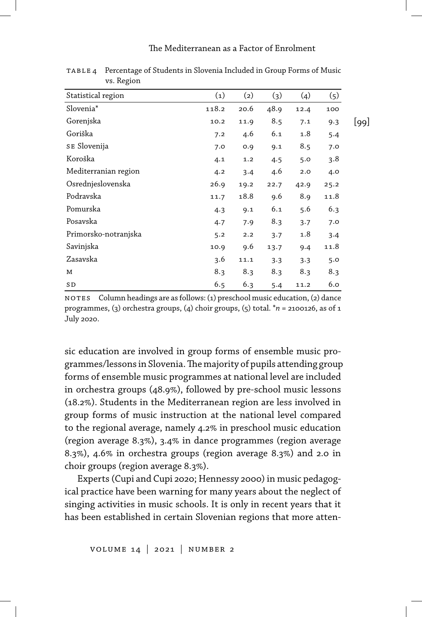#### The Mediterranean as a Factor of Enrolment

| Statistical region    | (1)   | (2)  | (3)  | (4)  | (5)  |
|-----------------------|-------|------|------|------|------|
| Slovenia <sup>*</sup> | 118.2 | 20.6 | 48.9 | 12.4 | 100  |
| Gorenjska             | 10.2  | 11.9 | 8.5  | 7.1  | 9.3  |
| Goriška               | 7.2   | 4.6  | 6.1  | 1.8  | 5.4  |
| SE Slovenija          | 7.0   | 0.9  | 9.1  | 8.5  | 7.0  |
| Koroška               | 4.1   | 1.2  | 4.5  | 5.0  | 3.8  |
| Mediterranian region  | 4.2   | 3.4  | 4.6  | 2.0  | 4.0  |
| Osrednjeslovenska     | 26.9  | 19.2 | 22.7 | 42.9 | 25.2 |
| Podravska             | 11.7  | 18.8 | 9.6  | 8.9  | 11.8 |
| Pomurska              | 4.3   | 9.1  | 6.1  | 5.6  | 6.3  |
| Posavska              | 4.7   | 7.9  | 8.3  | 3.7  | 7.0  |
| Primorsko-notranjska  | 5.2   | 2.2  | 3.7  | 1.8  | 3.4  |
| Savinjska             | 10.9  | 9.6  | 13.7 | 9.4  | 11.8 |
| Zasavska              | 3.6   | 11.1 | 3.3  | 3.3  | 5.0  |
| М                     | 8.3   | 8.3  | 8.3  | 8.3  | 8.3  |
| SD                    | 6.5   | 6.3  | 5.4  | 11.2 | 6.0  |
|                       |       |      |      |      |      |

table 4 Percentage of Students in Slovenia Included in Group Forms of Music vs. Region

no tes Column headings are as follows: (1) preschool music education, (2) dance programmes, (3) orchestra groups, (4) choir groups, (5) total. \**n* = 2100126, as of 1 July 2020.

sic education are involved in group forms of ensemble music programmes/lessons in Slovenia.The majority of pupils attending group forms of ensemble music programmes at national level are included in orchestra groups (48.9%), followed by pre-school music lessons (18.2%). Students in the Mediterranean region are less involved in group forms of music instruction at the national level compared to the regional average, namely 4.2% in preschool music education (region average 8.3%), 3.4% in dance programmes (region average 8.3%), 4.6% in orchestra groups (region average 8.3%) and 2.0 in choir groups (region average 8.3%).

Experts (Cupi and Cupi 2020; Hennessy 2000) in music pedagogical practice have been warning for many years about the neglect of singing activities in music schools. It is only in recent years that it has been established in certain Slovenian regions that more atten-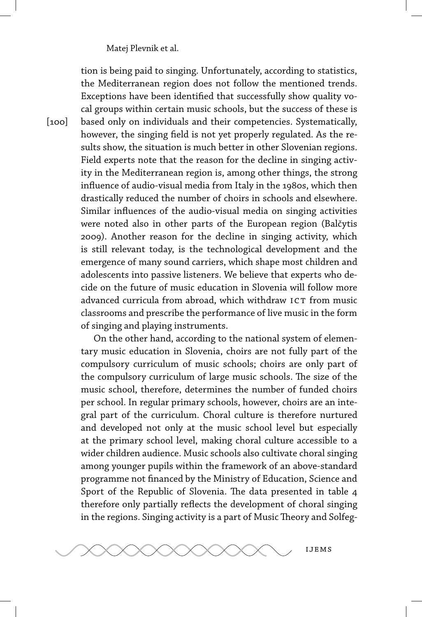$[100]$ 

tion is being paid to singing. Unfortunately, according to statistics, the Mediterranean region does not follow the mentioned trends. Exceptions have been identified that successfully show quality vocal groups within certain music schools, but the success of these is based only on individuals and their competencies. Systematically, however, the singing field is not yet properly regulated. As the results show, the situation is much better in other Slovenian regions. Field experts note that the reason for the decline in singing activity in the Mediterranean region is, among other things, the strong influence of audio-visual media from Italy in the 1980s, which then drastically reduced the number of choirs in schools and elsewhere. Similar influences of the audio-visual media on singing activities were noted also in other parts of the European region (Balčytis 2009). Another reason for the decline in singing activity, which is still relevant today, is the technological development and the emergence of many sound carriers, which shape most children and adolescents into passive listeners. We believe that experts who decide on the future of music education in Slovenia will follow more advanced curricula from abroad, which withdraw ICT from music classrooms and prescribe the performance of live music in the form of singing and playing instruments.

On the other hand, according to the national system of elementary music education in Slovenia, choirs are not fully part of the compulsory curriculum of music schools; choirs are only part of the compulsory curriculum of large music schools. The size of the music school, therefore, determines the number of funded choirs per school. In regular primary schools, however, choirs are an integral part of the curriculum. Choral culture is therefore nurtured and developed not only at the music school level but especially at the primary school level, making choral culture accessible to a wider children audience. Music schools also cultivate choral singing among younger pupils within the framework of an above-standard programme not financed by the Ministry of Education, Science and Sport of the Republic of Slovenia. The data presented in table 4 therefore only partially reflects the development of choral singing in the regions. Singing activity is a part of Music Theory and Solfeg-

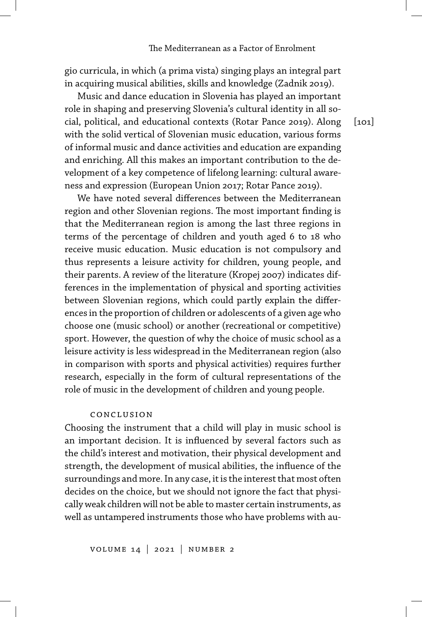gio curricula, in which (a prima vista) singing plays an integral part in acquiring musical abilities, skills and knowledge (Zadnik 2019).

Music and dance education in Slovenia has played an important role in shaping and preserving Slovenia's cultural identity in all social, political, and educational contexts (Rotar Pance 2019). Along with the solid vertical of Slovenian music education, various forms of informal music and dance activities and education are expanding and enriching. All this makes an important contribution to the development of a key competence of lifelong learning: cultural awareness and expression (European Union 2017; Rotar Pance 2019).

We have noted several differences between the Mediterranean region and other Slovenian regions. The most important finding is that the Mediterranean region is among the last three regions in terms of the percentage of children and youth aged 6 to 18 who receive music education. Music education is not compulsory and thus represents a leisure activity for children, young people, and their parents. A review of the literature (Kropej 2007) indicates differences in the implementation of physical and sporting activities between Slovenian regions, which could partly explain the differences in the proportion of children or adolescents of a given age who choose one (music school) or another (recreational or competitive) sport. However, the question of why the choice of music school as a leisure activity is less widespread in the Mediterranean region (also in comparison with sports and physical activities) requires further research, especially in the form of cultural representations of the role of music in the development of children and young people.

# conclusion

Choosing the instrument that a child will play in music school is an important decision. It is influenced by several factors such as the child's interest and motivation, their physical development and strength, the development of musical abilities, the influence of the surroundings and more. In any case, it is the interest that most often decides on the choice, but we should not ignore the fact that physically weak children will not be able to master certain instruments, as well as untampered instruments those who have problems with au $[101]$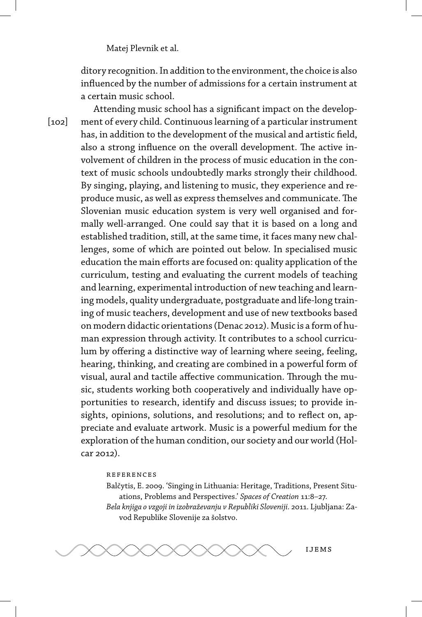ditory recognition. In addition to the environment, the choice is also influenced by the number of admissions for a certain instrument at a certain music school.

 $[102]$ Attending music school has a significant impact on the development of every child. Continuous learning of a particular instrument has, in addition to the development of the musical and artistic field, also a strong influence on the overall development. The active involvement of children in the process of music education in the context of music schools undoubtedly marks strongly their childhood. By singing, playing, and listening to music, they experience and reproduce music, as well as express themselves and communicate. The Slovenian music education system is very well organised and formally well-arranged. One could say that it is based on a long and established tradition, still, at the same time, it faces many new challenges, some of which are pointed out below. In specialised music education the main efforts are focused on: quality application of the curriculum, testing and evaluating the current models of teaching and learning, experimental introduction of new teaching and learning models, quality undergraduate, postgraduate and life-long training of music teachers, development and use of new textbooks based on modern didactic orientations (Denac 2012). Music is a form of human expression through activity. It contributes to a school curriculum by offering a distinctive way of learning where seeing, feeling, hearing, thinking, and creating are combined in a powerful form of visual, aural and tactile affective communication. Through the music, students working both cooperatively and individually have opportunities to research, identify and discuss issues; to provide insights, opinions, solutions, and resolutions; and to reflect on, appreciate and evaluate artwork. Music is a powerful medium for the exploration of the human condition, our society and our world (Holcar 2012).

#### references

Balčytis, E. 2009. 'Singing in Lithuania: Heritage, Traditions, Present Situations, Problems and Perspectives.' *Spaces of Creation* 11:8–27. *Bela knjiga o vzgoji in izobraževanju v Republiki Sloveniji.* 2011. Ljubljana: Zavod Republike Slovenije za šolstvo.